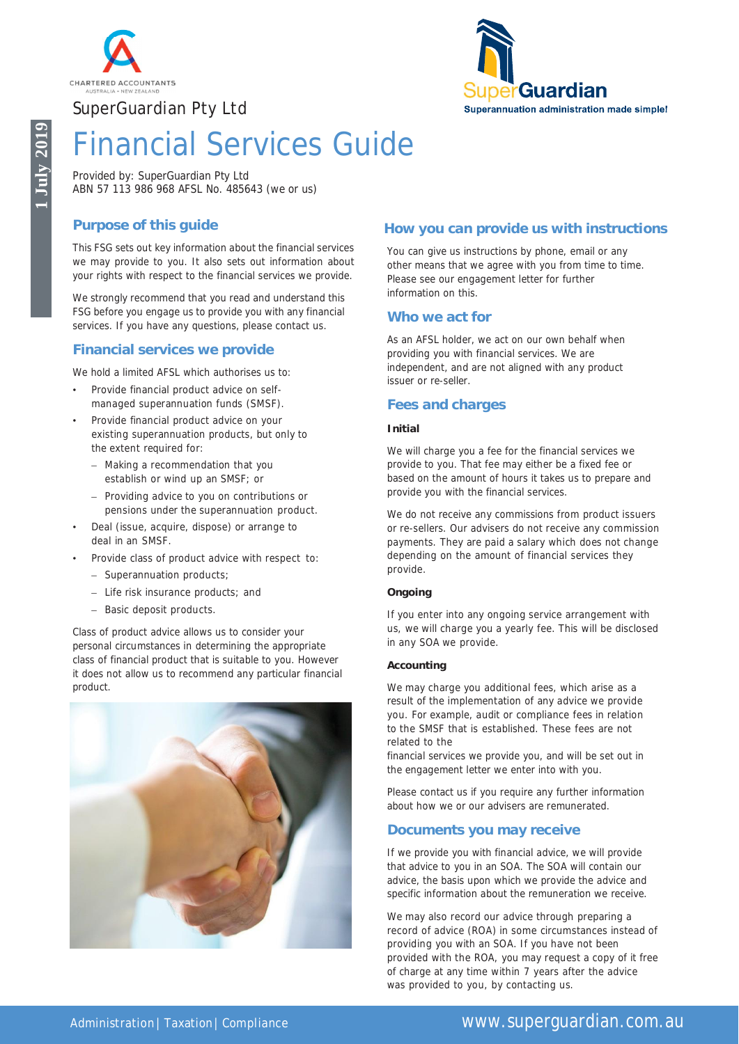





# Financial Services Guide

Provided by: SuperGuardian Pty Ltd ABN 57 113 986 968 AFSL No. 485643 (we or us)

# **Purpose of this guide**

This FSG sets out key information about the financial services we may provide to you. It also sets out information about your rights with respect to the financial services we provide.

We strongly recommend that you read and understand this FSG before you engage us to provide you with any financial services. If you have any questions, please contact us.

# **Financial services we provide**

We hold a limited AFSL which authorises us to:

- Provide financial product advice on selfmanaged superannuation funds (SMSF).
- Provide financial product advice on your existing superannuation products, but only to the extent required for:
	- Making a recommendation that you establish or wind up an SMSF; or
	- Providing advice to you on contributions or pensions under the superannuation product.
- Deal (issue, acquire, dispose) or arrange to deal in an SMSF.
- Provide class of product advice with respect to:
	- Superannuation products;
	- Life risk insurance products; and
	- Basic deposit products.

Class of product advice allows us to consider your personal circumstances in determining the appropriate class of financial product that is suitable to you. However it does not allow us to recommend any particular financial product.



### **How you can provide us with instructions**

You can give us instructions by phone, email or any other means that we agree with you from time to time. Please see our engagement letter for further information on this.

### **Who we act for**

As an AFSL holder, we act on our own behalf when providing you with financial services. We are independent, and are not aligned with any product issuer or re-seller.

## **Fees and charges**

### **Initial**

We will charge you a fee for the financial services we provide to you. That fee may either be a fixed fee or based on the amount of hours it takes us to prepare and provide you with the financial services.

We do not receive any commissions from product issuers or re-sellers. Our advisers do not receive any commission payments. They are paid a salary which does not change depending on the amount of financial services they provide.

#### **Ongoing**

If you enter into any ongoing service arrangement with us, we will charge you a yearly fee. This will be disclosed in any SOA we provide.

#### **Accounting**

We may charge you additional fees, which arise as a result of the implementation of any advice we provide you. For example, audit or compliance fees in relation to the SMSF that is established. These fees are not related to the

financial services we provide you, and will be set out in the engagement letter we enter into with you.

Please contact us if you require any further information about how we or our advisers are remunerated.

### **Documents you may receive**

If we provide you with financial advice, we will provide that advice to you in an SOA. The SOA will contain our advice, the basis upon which we provide the advice and specific information about the remuneration we receive.

We may also record our advice through preparing a record of advice (ROA) in some circumstances instead of providing you with an SOA. If you have not been provided with the ROA, you may request a copy of it free of charge at any time within 7 years after the advice was provided to you, by contacting us.